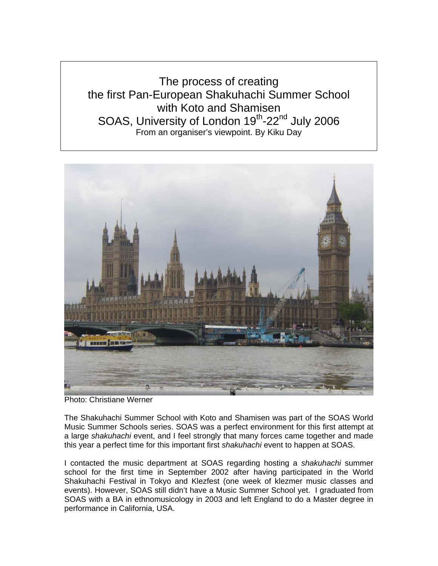The process of creating the first Pan-European Shakuhachi Summer School with Koto and Shamisen SOAS, University of London 19<sup>th</sup>-22<sup>nd</sup> July 2006 From an organiser's viewpoint. By Kiku Day



Photo: Christiane Werner

The Shakuhachi Summer School with Koto and Shamisen was part of the SOAS World Music Summer Schools series. SOAS was a perfect environment for this first attempt at a large *shakuhachi* event, and I feel strongly that many forces came together and made this year a perfect time for this important first *shakuhachi* event to happen at SOAS.

I contacted the music department at SOAS regarding hosting a *shakuhachi* summer school for the first time in September 2002 after having participated in the World Shakuhachi Festival in Tokyo and Klezfest (one week of klezmer music classes and events). However, SOAS still didn't have a Music Summer School yet. I graduated from SOAS with a BA in ethnomusicology in 2003 and left England to do a Master degree in performance in California, USA.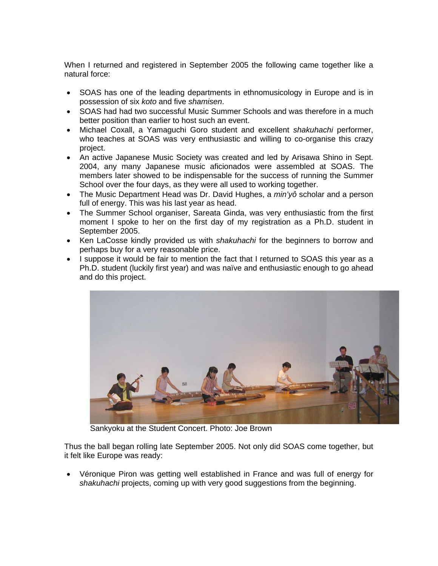When I returned and registered in September 2005 the following came together like a natural force:

- SOAS has one of the leading departments in ethnomusicology in Europe and is in possession of six *koto* and five *shamisen*.
- SOAS had had two successful Music Summer Schools and was therefore in a much better position than earlier to host such an event.
- Michael Coxall, a Yamaguchi Goro student and excellent *shakuhachi* performer, who teaches at SOAS was very enthusiastic and willing to co-organise this crazy project.
- An active Japanese Music Society was created and led by Arisawa Shino in Sept. 2004, any many Japanese music aficionados were assembled at SOAS. The members later showed to be indispensable for the success of running the Summer School over the four days, as they were all used to working together.
- The Music Department Head was Dr. David Hughes, a *min'yô* scholar and a person full of energy. This was his last year as head.
- The Summer School organiser, Sareata Ginda, was very enthusiastic from the first moment I spoke to her on the first day of my registration as a Ph.D. student in September 2005.
- Ken LaCosse kindly provided us with *shakuhachi* for the beginners to borrow and perhaps buy for a very reasonable price.
- I suppose it would be fair to mention the fact that I returned to SOAS this year as a Ph.D. student (luckily first year) and was naïve and enthusiastic enough to go ahead and do this project.



Sankyoku at the Student Concert. Photo: Joe Brown

Thus the ball began rolling late September 2005. Not only did SOAS come together, but it felt like Europe was ready:

• Véronique Piron was getting well established in France and was full of energy for *shakuhachi* projects, coming up with very good suggestions from the beginning.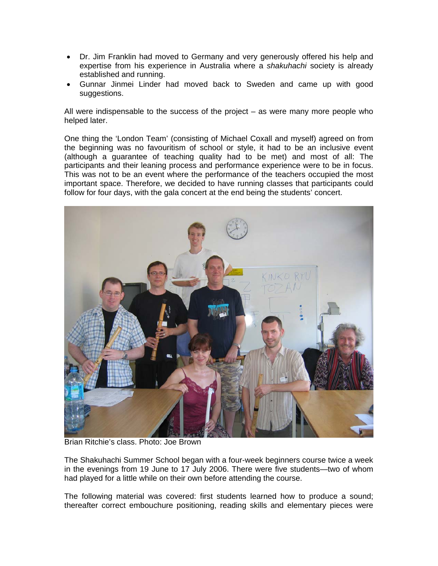- Dr. Jim Franklin had moved to Germany and very generously offered his help and expertise from his experience in Australia where a *shakuhachi* society is already established and running.
- Gunnar Jinmei Linder had moved back to Sweden and came up with good suggestions.

All were indispensable to the success of the project  $-$  as were many more people who helped later.

One thing the 'London Team' (consisting of Michael Coxall and myself) agreed on from the beginning was no favouritism of school or style, it had to be an inclusive event (although a guarantee of teaching quality had to be met) and most of all: The participants and their leaning process and performance experience were to be in focus. This was not to be an event where the performance of the teachers occupied the most important space. Therefore, we decided to have running classes that participants could follow for four days, with the gala concert at the end being the students' concert.



Brian Ritchie's class. Photo: Joe Brown

The Shakuhachi Summer School began with a four-week beginners course twice a week in the evenings from 19 June to 17 July 2006. There were five students—two of whom had played for a little while on their own before attending the course.

The following material was covered: first students learned how to produce a sound; thereafter correct embouchure positioning, reading skills and elementary pieces were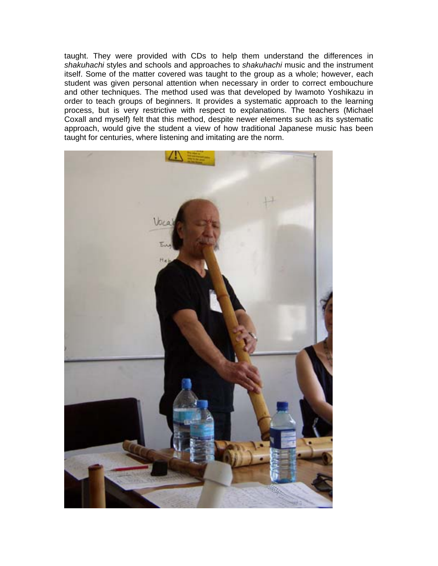taught. They were provided with CDs to help them understand the differences in *shakuhachi* styles and schools and approaches to *shakuhachi* music and the instrument itself. Some of the matter covered was taught to the group as a whole; however, each student was given personal attention when necessary in order to correct embouchure and other techniques. The method used was that developed by Iwamoto Yoshikazu in order to teach groups of beginners. It provides a systematic approach to the learning process, but is very restrictive with respect to explanations. The teachers (Michael Coxall and myself) felt that this method, despite newer elements such as its systematic approach, would give the student a view of how traditional Japanese music has been taught for centuries, where listening and imitating are the norm.

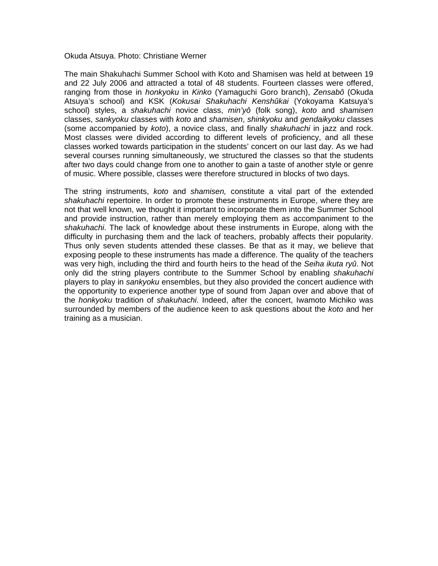## Okuda Atsuya. Photo: Christiane Werner

The main Shakuhachi Summer School with Koto and Shamisen was held at between 19 and 22 July 2006 and attracted a total of 48 students. Fourteen classes were offered, ranging from those in *honkyoku* in *Kinko* (Yamaguchi Goro branch), *Zensabô* (Okuda Atsuya's school) and KSK (*Kokusai Shakuhachi Kenshûkai* (Yokoyama Katsuya's school) styles, a *shakuhachi* novice class, *min'yô* (folk song), *koto* and *shamisen* classes, *sankyoku* classes with *koto* and *shamisen*, *shinkyoku* and *gendaikyoku* classes (some accompanied by *koto*), a novice class, and finally *shakuhachi* in jazz and rock. Most classes were divided according to different levels of proficiency, and all these classes worked towards participation in the students' concert on our last day. As we had several courses running simultaneously, we structured the classes so that the students after two days could change from one to another to gain a taste of another style or genre of music. Where possible, classes were therefore structured in blocks of two days.

The string instruments, *koto* and *shamisen,* constitute a vital part of the extended *shakuhachi* repertoire. In order to promote these instruments in Europe, where they are not that well known, we thought it important to incorporate them into the Summer School and provide instruction, rather than merely employing them as accompaniment to the *shakuhachi*. The lack of knowledge about these instruments in Europe, along with the difficulty in purchasing them and the lack of teachers, probably affects their popularity. Thus only seven students attended these classes. Be that as it may, we believe that exposing people to these instruments has made a difference. The quality of the teachers was very high, including the third and fourth heirs to the head of the *Seiha ikuta ryû*. Not only did the string players contribute to the Summer School by enabling *shakuhachi* players to play in *sankyoku* ensembles, but they also provided the concert audience with the opportunity to experience another type of sound from Japan over and above that of the *honkyoku* tradition of *shakuhachi*. Indeed, after the concert, Iwamoto Michiko was surrounded by members of the audience keen to ask questions about the *koto* and her training as a musician.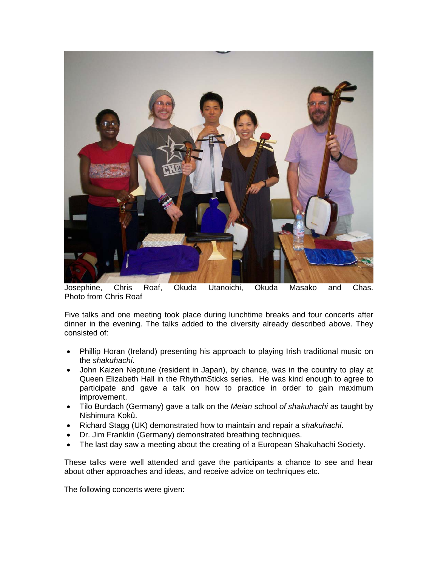

Josephine, Chris Roaf, Okuda Utanoichi, Okuda Masako and Chas. Photo from Chris Roaf

Five talks and one meeting took place during lunchtime breaks and four concerts after dinner in the evening. The talks added to the diversity already described above. They consisted of:

- Phillip Horan (Ireland) presenting his approach to playing Irish traditional music on the *shakuhachi*.
- John Kaizen Neptune (resident in Japan), by chance, was in the country to play at Queen Elizabeth Hall in the RhythmSticks series. He was kind enough to agree to participate and gave a talk on how to practice in order to gain maximum improvement.
- Tilo Burdach (Germany) gave a talk on the *Meian* school *of shakuhachi* as taught by Nishimura Kokû.
- Richard Stagg (UK) demonstrated how to maintain and repair a *shakuhachi*.
- Dr. Jim Franklin (Germany) demonstrated breathing techniques.
- The last day saw a meeting about the creating of a European Shakuhachi Society.

These talks were well attended and gave the participants a chance to see and hear about other approaches and ideas, and receive advice on techniques etc.

The following concerts were given: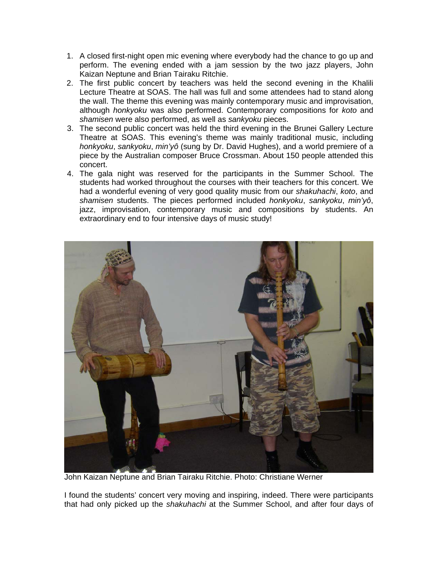- 1. A closed first-night open mic evening where everybody had the chance to go up and perform. The evening ended with a jam session by the two jazz players, John Kaizan Neptune and Brian Tairaku Ritchie.
- 2. The first public concert by teachers was held the second evening in the Khalili Lecture Theatre at SOAS. The hall was full and some attendees had to stand along the wall. The theme this evening was mainly contemporary music and improvisation, although *honkyoku* was also performed. Contemporary compositions for *koto* and *shamisen* were also performed, as well as *sankyoku* pieces.
- 3. The second public concert was held the third evening in the Brunei Gallery Lecture Theatre at SOAS. This evening's theme was mainly traditional music, including *honkyoku*, *sankyoku*, *min'yô* (sung by Dr. David Hughes), and a world premiere of a piece by the Australian composer Bruce Crossman. About 150 people attended this concert.
- 4. The gala night was reserved for the participants in the Summer School. The students had worked throughout the courses with their teachers for this concert. We had a wonderful evening of very good quality music from our *shakuhachi*, *koto*, and *shamisen* students. The pieces performed included *honkyoku*, *sankyoku*, *min'yô*, jazz, improvisation, contemporary music and compositions by students. An extraordinary end to four intensive days of music study!



John Kaizan Neptune and Brian Tairaku Ritchie. Photo: Christiane Werner

I found the students' concert very moving and inspiring, indeed. There were participants that had only picked up the *shakuhachi* at the Summer School, and after four days of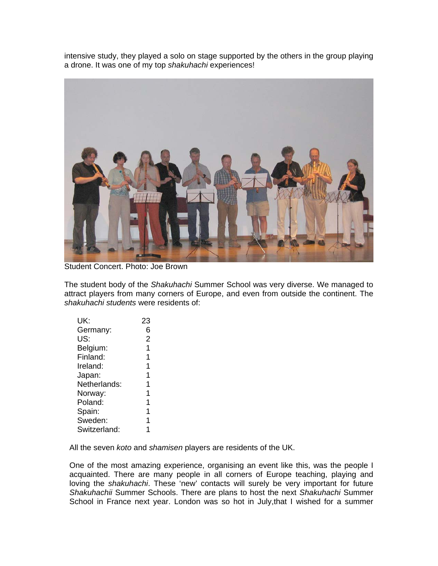intensive study, they played a solo on stage supported by the others in the group playing a drone. It was one of my top *shakuhachi* experiences!



Student Concert. Photo: Joe Brown

The student body of the *Shakuhachi* Summer School was very diverse. We managed to attract players from many corners of Europe, and even from outside the continent. The *shakuhachi students* were residents of:

| UK:          | 23             |
|--------------|----------------|
| Germany:     | 6              |
| US:          | $\overline{2}$ |
| Belgium:     | 1              |
| Finland:     | 1              |
| Ireland:     | 1              |
| Japan:       | 1              |
| Netherlands: | 1              |
| Norway:      | 1              |
| Poland:      | 1              |
| Spain:       | 1              |
| Sweden:      | 1              |
| Switzerland: | 1              |
|              |                |

All the seven *koto* and *shamisen* players are residents of the UK.

One of the most amazing experience, organising an event like this, was the people I acquainted. There are many people in all corners of Europe teaching, playing and loving the *shakuhachi*. These 'new' contacts will surely be very important for future *Shakuhachii* Summer Schools. There are plans to host the next *Shakuhachi* Summer School in France next year. London was so hot in July, that I wished for a summer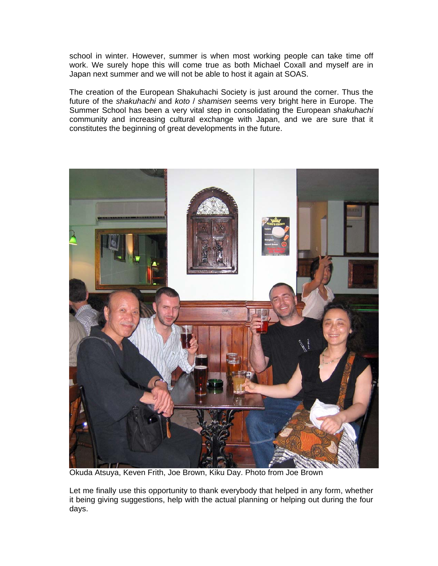school in winter. However, summer is when most working people can take time off work. We surely hope this will come true as both Michael Coxall and myself are in Japan next summer and we will not be able to host it again at SOAS.

The creation of the European Shakuhachi Society is just around the corner. Thus the future of the *shakuhachi* and *koto* / *shamisen* seems very bright here in Europe. The Summer School has been a very vital step in consolidating the European *shakuhachi* community and increasing cultural exchange with Japan, and we are sure that it constitutes the beginning of great developments in the future.



Okuda Atsuya, Keven Frith, Joe Brown, Kiku Day. Photo from Joe Brown

Let me finally use this opportunity to thank everybody that helped in any form, whether it being giving suggestions, help with the actual planning or helping out during the four days.